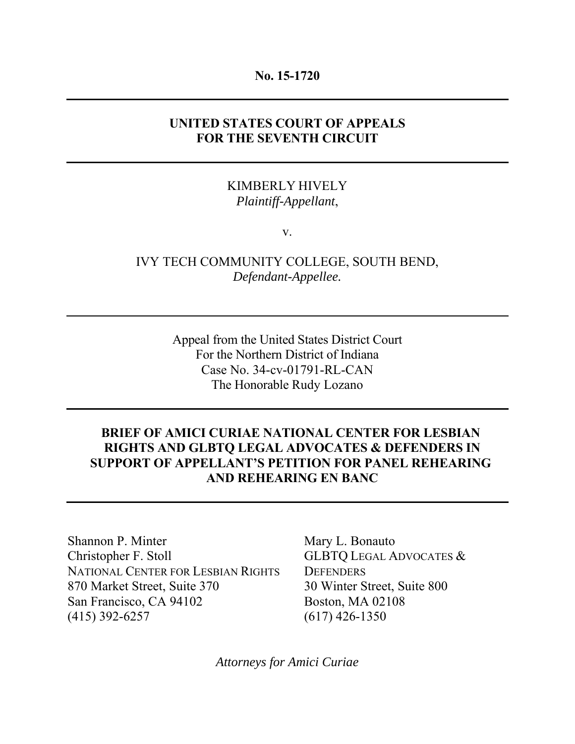## **No. 15-1720**

# **UNITED STATES COURT OF APPEALS FOR THE SEVENTH CIRCUIT**

# KIMBERLY HIVELY *Plaintiff-Appellant*,

v.

IVY TECH COMMUNITY COLLEGE, SOUTH BEND, *Defendant-Appellee.*

> Appeal from the United States District Court For the Northern District of Indiana Case No. 34-cv-01791-RL-CAN The Honorable Rudy Lozano

# **BRIEF OF AMICI CURIAE NATIONAL CENTER FOR LESBIAN RIGHTS AND GLBTQ LEGAL ADVOCATES & DEFENDERS IN SUPPORT OF APPELLANT'S PETITION FOR PANEL REHEARING AND REHEARING EN BANC**

Shannon P. Minter Mary L. Bonauto Christopher F. Stoll GLBTQ LEGAL ADVOCATES & NATIONAL CENTER FOR LESBIAN RIGHTS DEFENDERS 870 Market Street, Suite 370 30 Winter Street, Suite 800 San Francisco, CA 94102 Boston, MA 02108 (415) 392-6257 (617) 426-1350

*Attorneys for Amici Curiae*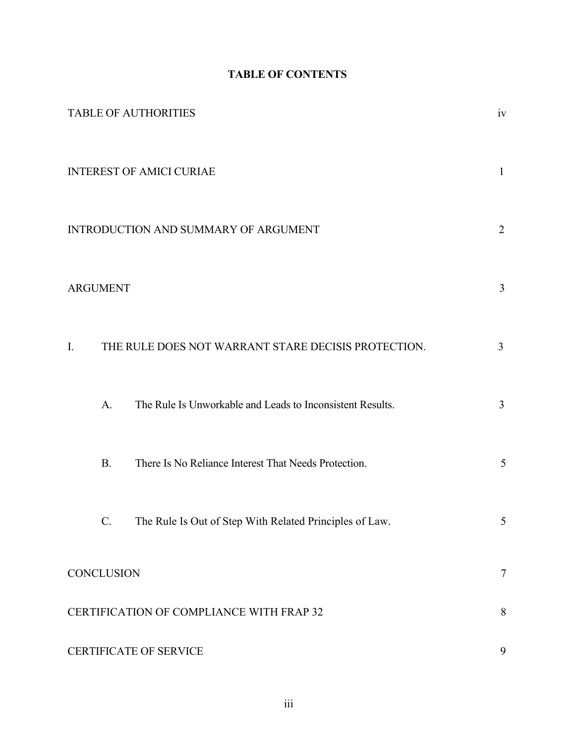# **TABLE OF CONTENTS**

|                                          | <b>TABLE OF AUTHORITIES</b>                                   | iv             |
|------------------------------------------|---------------------------------------------------------------|----------------|
| <b>INTEREST OF AMICI CURIAE</b>          |                                                               | $\mathbf{1}$   |
| INTRODUCTION AND SUMMARY OF ARGUMENT     |                                                               |                |
| <b>ARGUMENT</b>                          |                                                               | $\mathfrak{Z}$ |
| I.                                       | THE RULE DOES NOT WARRANT STARE DECISIS PROTECTION.           | $\mathfrak{Z}$ |
| A.                                       | The Rule Is Unworkable and Leads to Inconsistent Results.     | 3              |
| <b>B.</b>                                | There Is No Reliance Interest That Needs Protection.          | 5              |
|                                          | The Rule Is Out of Step With Related Principles of Law.<br>C. | 5              |
| <b>CONCLUSION</b>                        |                                                               | $\tau$         |
| CERTIFICATION OF COMPLIANCE WITH FRAP 32 |                                                               |                |
| <b>CERTIFICATE OF SERVICE</b>            |                                                               |                |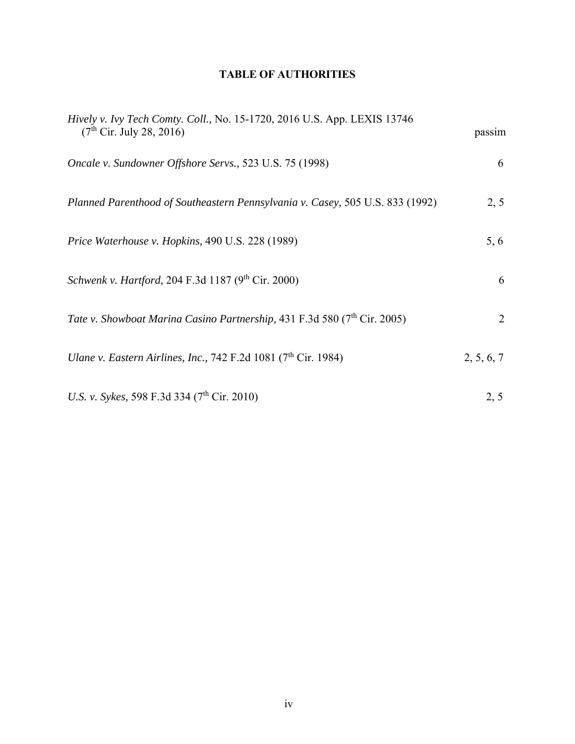# **TABLE OF AUTHORITIES**

| <i>Hively v. Ivy Tech Comty. Coll., No.</i> 15-1720, 2016 U.S. App. LEXIS 13746<br>(7 <sup>th</sup> Cir. July 28, 2016) | passim     |
|-------------------------------------------------------------------------------------------------------------------------|------------|
| Oncale v. Sundowner Offshore Servs., 523 U.S. 75 (1998)                                                                 | 6          |
| Planned Parenthood of Southeastern Pennsylvania v. Casey, 505 U.S. 833 (1992)                                           | 2, 5       |
| Price Waterhouse v. Hopkins, 490 U.S. 228 (1989)                                                                        | 5, 6       |
| Schwenk v. Hartford, 204 F.3d 1187 (9th Cir. 2000)                                                                      | 6          |
| Tate v. Showboat Marina Casino Partnership, 431 F.3d 580 (7 <sup>th</sup> Cir. 2005)                                    | 2          |
| Ulane v. Eastern Airlines, Inc., 742 F.2d 1081 ( $7th$ Cir. 1984)                                                       | 2, 5, 6, 7 |
| U.S. v. Sykes, 598 F.3d 334 (7 <sup>th</sup> Cir. 2010)                                                                 | 2, 5       |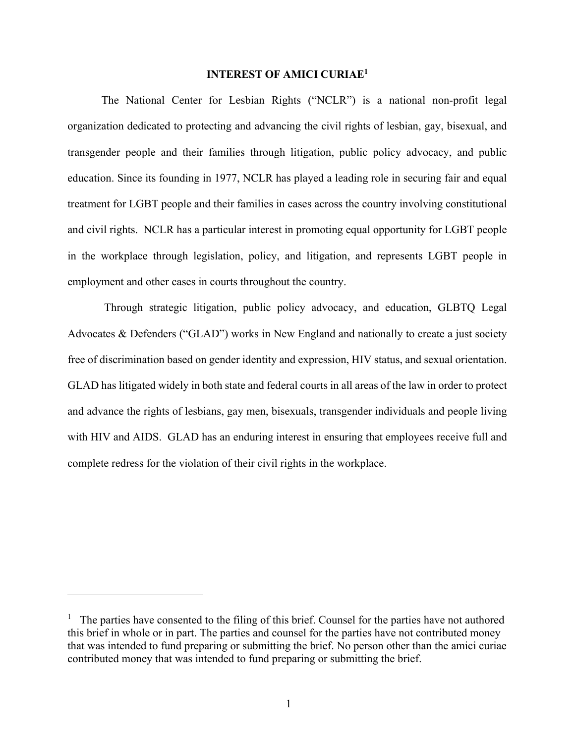#### **INTEREST OF AMICI CURIAE1**

The National Center for Lesbian Rights ("NCLR") is a national non-profit legal organization dedicated to protecting and advancing the civil rights of lesbian, gay, bisexual, and transgender people and their families through litigation, public policy advocacy, and public education. Since its founding in 1977, NCLR has played a leading role in securing fair and equal treatment for LGBT people and their families in cases across the country involving constitutional and civil rights. NCLR has a particular interest in promoting equal opportunity for LGBT people in the workplace through legislation, policy, and litigation, and represents LGBT people in employment and other cases in courts throughout the country.

 Through strategic litigation, public policy advocacy, and education, GLBTQ Legal Advocates & Defenders ("GLAD") works in New England and nationally to create a just society free of discrimination based on gender identity and expression, HIV status, and sexual orientation. GLAD has litigated widely in both state and federal courts in all areas of the law in order to protect and advance the rights of lesbians, gay men, bisexuals, transgender individuals and people living with HIV and AIDS. GLAD has an enduring interest in ensuring that employees receive full and complete redress for the violation of their civil rights in the workplace.

1

<sup>&</sup>lt;sup>1</sup> The parties have consented to the filing of this brief. Counsel for the parties have not authored this brief in whole or in part. The parties and counsel for the parties have not contributed money that was intended to fund preparing or submitting the brief. No person other than the amici curiae contributed money that was intended to fund preparing or submitting the brief.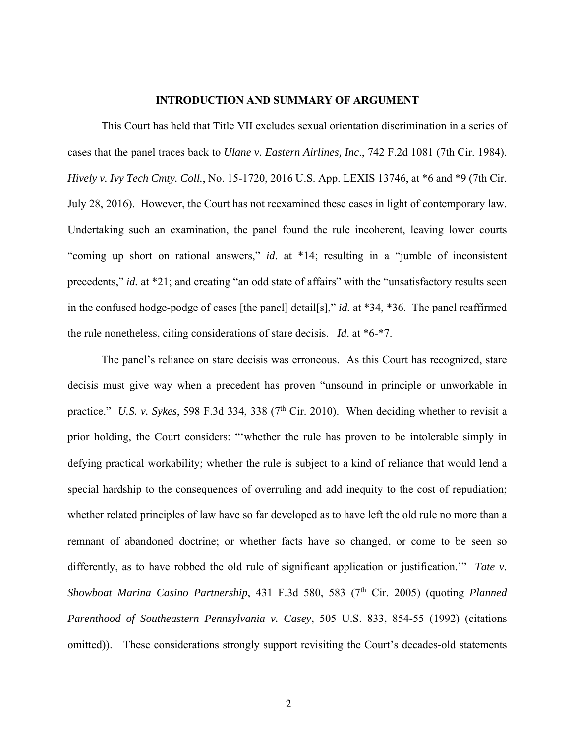### **INTRODUCTION AND SUMMARY OF ARGUMENT**

This Court has held that Title VII excludes sexual orientation discrimination in a series of cases that the panel traces back to *Ulane v. Eastern Airlines, Inc*., 742 F.2d 1081 (7th Cir. 1984). *Hively v. Ivy Tech Cmty. Coll.*, No. 15-1720, 2016 U.S. App. LEXIS 13746, at \*6 and \*9 (7th Cir. July 28, 2016). However, the Court has not reexamined these cases in light of contemporary law. Undertaking such an examination, the panel found the rule incoherent, leaving lower courts "coming up short on rational answers," *id*. at \*14; resulting in a "jumble of inconsistent precedents," *id.* at \*21; and creating "an odd state of affairs" with the "unsatisfactory results seen in the confused hodge-podge of cases [the panel] detail[s]," *id.* at \*34, \*36. The panel reaffirmed the rule nonetheless, citing considerations of stare decisis. *Id*. at \*6-\*7.

The panel's reliance on stare decisis was erroneous. As this Court has recognized, stare decisis must give way when a precedent has proven "unsound in principle or unworkable in practice." *U.S. v. Sykes*, 598 F.3d 334, 338 ( $7<sup>th</sup>$  Cir. 2010). When deciding whether to revisit a prior holding, the Court considers: "'whether the rule has proven to be intolerable simply in defying practical workability; whether the rule is subject to a kind of reliance that would lend a special hardship to the consequences of overruling and add inequity to the cost of repudiation; whether related principles of law have so far developed as to have left the old rule no more than a remnant of abandoned doctrine; or whether facts have so changed, or come to be seen so differently, as to have robbed the old rule of significant application or justification.'" *Tate v. Showboat Marina Casino Partnership*, 431 F.3d 580, 583 (7<sup>th</sup> Cir. 2005) (quoting *Planned Parenthood of Southeastern Pennsylvania v. Casey*, 505 U.S. 833, 854-55 (1992) (citations omitted)). These considerations strongly support revisiting the Court's decades-old statements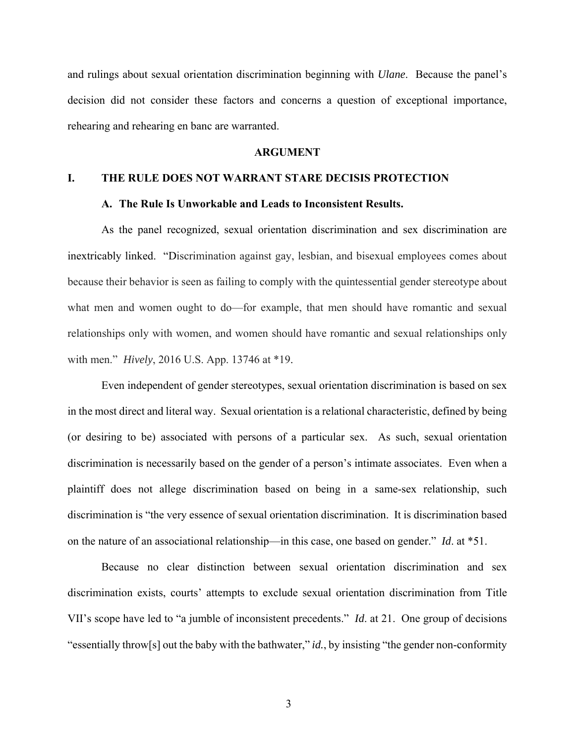and rulings about sexual orientation discrimination beginning with *Ulane*. Because the panel's decision did not consider these factors and concerns a question of exceptional importance, rehearing and rehearing en banc are warranted.

### **ARGUMENT**

### **I. THE RULE DOES NOT WARRANT STARE DECISIS PROTECTION**

#### **A. The Rule Is Unworkable and Leads to Inconsistent Results.**

As the panel recognized, sexual orientation discrimination and sex discrimination are inextricably linked. "Discrimination against gay, lesbian, and bisexual employees comes about because their behavior is seen as failing to comply with the quintessential gender stereotype about what men and women ought to do—for example, that men should have romantic and sexual relationships only with women, and women should have romantic and sexual relationships only with men." *Hively*, 2016 U.S. App. 13746 at \*19.

Even independent of gender stereotypes, sexual orientation discrimination is based on sex in the most direct and literal way. Sexual orientation is a relational characteristic, defined by being (or desiring to be) associated with persons of a particular sex. As such, sexual orientation discrimination is necessarily based on the gender of a person's intimate associates. Even when a plaintiff does not allege discrimination based on being in a same-sex relationship, such discrimination is "the very essence of sexual orientation discrimination. It is discrimination based on the nature of an associational relationship—in this case, one based on gender." *Id*. at \*51.

Because no clear distinction between sexual orientation discrimination and sex discrimination exists, courts' attempts to exclude sexual orientation discrimination from Title VII's scope have led to "a jumble of inconsistent precedents." *Id*. at 21. One group of decisions "essentially throw[s] out the baby with the bathwater," *id.*, by insisting "the gender non-conformity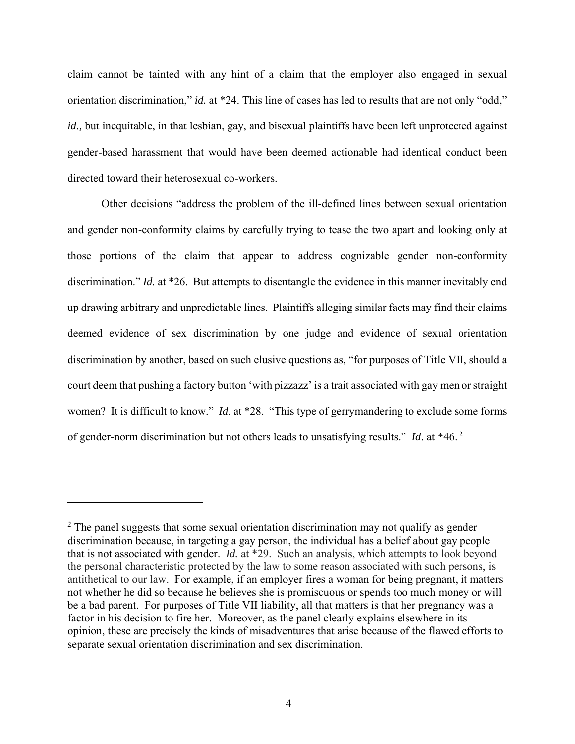claim cannot be tainted with any hint of a claim that the employer also engaged in sexual orientation discrimination," *id.* at \*24. This line of cases has led to results that are not only "odd," *id.*, but inequitable, in that lesbian, gay, and bisexual plaintiffs have been left unprotected against gender-based harassment that would have been deemed actionable had identical conduct been directed toward their heterosexual co-workers.

Other decisions "address the problem of the ill-defined lines between sexual orientation and gender non-conformity claims by carefully trying to tease the two apart and looking only at those portions of the claim that appear to address cognizable gender non-conformity discrimination." *Id.* at \*26. But attempts to disentangle the evidence in this manner inevitably end up drawing arbitrary and unpredictable lines. Plaintiffs alleging similar facts may find their claims deemed evidence of sex discrimination by one judge and evidence of sexual orientation discrimination by another, based on such elusive questions as, "for purposes of Title VII, should a court deem that pushing a factory button 'with pizzazz' is a trait associated with gay men or straight women? It is difficult to know." *Id*. at \*28. "This type of gerrymandering to exclude some forms of gender-norm discrimination but not others leads to unsatisfying results." *Id*. at \*46. 2

 $\overline{a}$ 

 $2$  The panel suggests that some sexual orientation discrimination may not qualify as gender discrimination because, in targeting a gay person, the individual has a belief about gay people that is not associated with gender. *Id.* at \*29. Such an analysis, which attempts to look beyond the personal characteristic protected by the law to some reason associated with such persons, is antithetical to our law. For example, if an employer fires a woman for being pregnant, it matters not whether he did so because he believes she is promiscuous or spends too much money or will be a bad parent. For purposes of Title VII liability, all that matters is that her pregnancy was a factor in his decision to fire her. Moreover, as the panel clearly explains elsewhere in its opinion, these are precisely the kinds of misadventures that arise because of the flawed efforts to separate sexual orientation discrimination and sex discrimination.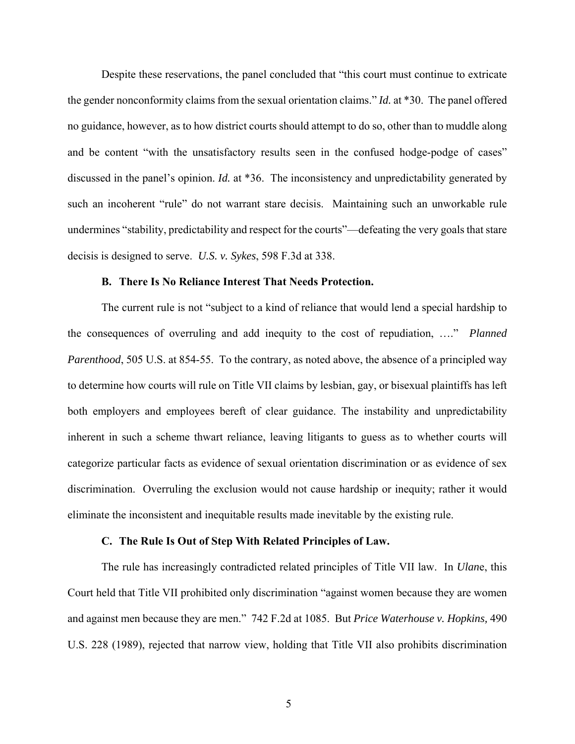Despite these reservations, the panel concluded that "this court must continue to extricate the gender nonconformity claims from the sexual orientation claims." *Id.* at \*30. The panel offered no guidance, however, as to how district courts should attempt to do so, other than to muddle along and be content "with the unsatisfactory results seen in the confused hodge-podge of cases" discussed in the panel's opinion. *Id.* at \*36. The inconsistency and unpredictability generated by such an incoherent "rule" do not warrant stare decisis. Maintaining such an unworkable rule undermines "stability, predictability and respect for the courts"—defeating the very goals that stare decisis is designed to serve. *U.S. v. Sykes*, 598 F.3d at 338.

#### **B. There Is No Reliance Interest That Needs Protection.**

The current rule is not "subject to a kind of reliance that would lend a special hardship to the consequences of overruling and add inequity to the cost of repudiation, …." *Planned Parenthood*, 505 U.S. at 854-55. To the contrary, as noted above, the absence of a principled way to determine how courts will rule on Title VII claims by lesbian, gay, or bisexual plaintiffs has left both employers and employees bereft of clear guidance. The instability and unpredictability inherent in such a scheme thwart reliance, leaving litigants to guess as to whether courts will categorize particular facts as evidence of sexual orientation discrimination or as evidence of sex discrimination. Overruling the exclusion would not cause hardship or inequity; rather it would eliminate the inconsistent and inequitable results made inevitable by the existing rule.

#### **C. The Rule Is Out of Step With Related Principles of Law.**

The rule has increasingly contradicted related principles of Title VII law. In *Ulan*e, this Court held that Title VII prohibited only discrimination "against women because they are women and against men because they are men." 742 F.2d at 1085. But *Price Waterhouse v. Hopkins,* 490 U.S. 228 (1989), rejected that narrow view, holding that Title VII also prohibits discrimination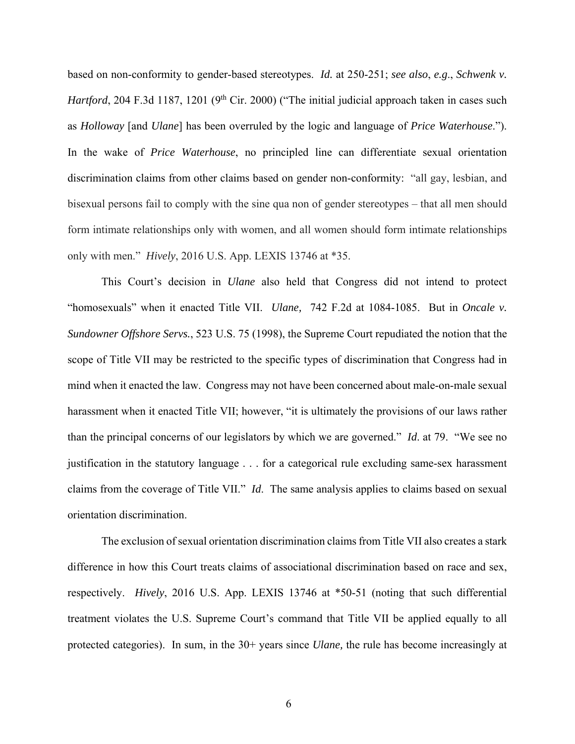based on non-conformity to gender-based stereotypes. *Id.* at 250-251; *see also*, *e.g*., *Schwenk v. Hartford*, 204 F.3d 1187, 1201 (9<sup>th</sup> Cir. 2000) ("The initial judicial approach taken in cases such as *Holloway* [and *Ulane*] has been overruled by the logic and language of *Price Waterhouse*."). In the wake of *Price Waterhouse*, no principled line can differentiate sexual orientation discrimination claims from other claims based on gender non-conformity: "all gay, lesbian, and bisexual persons fail to comply with the sine qua non of gender stereotypes – that all men should form intimate relationships only with women, and all women should form intimate relationships only with men." *Hively*, 2016 U.S. App. LEXIS 13746 at \*35.

This Court's decision in *Ulane* also held that Congress did not intend to protect "homosexuals" when it enacted Title VII. *Ulane,* 742 F.2d at 1084-1085. But in *Oncale v. Sundowner Offshore Servs.*, 523 U.S. 75 (1998), the Supreme Court repudiated the notion that the scope of Title VII may be restricted to the specific types of discrimination that Congress had in mind when it enacted the law. Congress may not have been concerned about male-on-male sexual harassment when it enacted Title VII; however, "it is ultimately the provisions of our laws rather than the principal concerns of our legislators by which we are governed." *Id*. at 79. "We see no justification in the statutory language . . . for a categorical rule excluding same-sex harassment claims from the coverage of Title VII." *Id*. The same analysis applies to claims based on sexual orientation discrimination.

The exclusion of sexual orientation discrimination claims from Title VII also creates a stark difference in how this Court treats claims of associational discrimination based on race and sex, respectively. *Hively*, 2016 U.S. App. LEXIS 13746 at \*50-51 (noting that such differential treatment violates the U.S. Supreme Court's command that Title VII be applied equally to all protected categories). In sum, in the 30+ years since *Ulane,* the rule has become increasingly at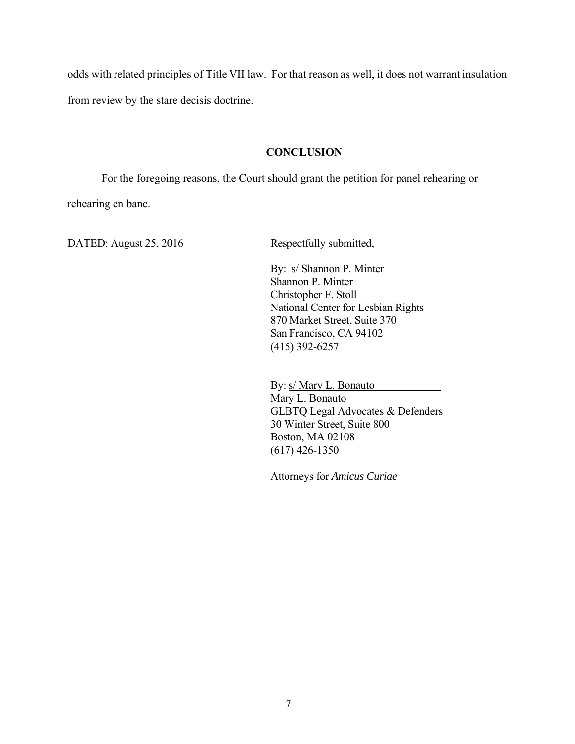odds with related principles of Title VII law. For that reason as well, it does not warrant insulation from review by the stare decisis doctrine.

### **CONCLUSION**

For the foregoing reasons, the Court should grant the petition for panel rehearing or rehearing en banc.

DATED: August 25, 2016 Respectfully submitted,

By: s/ Shannon P. Minter Shannon P. Minter Christopher F. Stoll National Center for Lesbian Rights 870 Market Street, Suite 370 San Francisco, CA 94102 (415) 392-6257

By:  $s/Mary L. Bonauto$ Mary L. Bonauto GLBTQ Legal Advocates & Defenders 30 Winter Street, Suite 800 Boston, MA 02108 (617) 426-1350

Attorneys for *Amicus Curiae*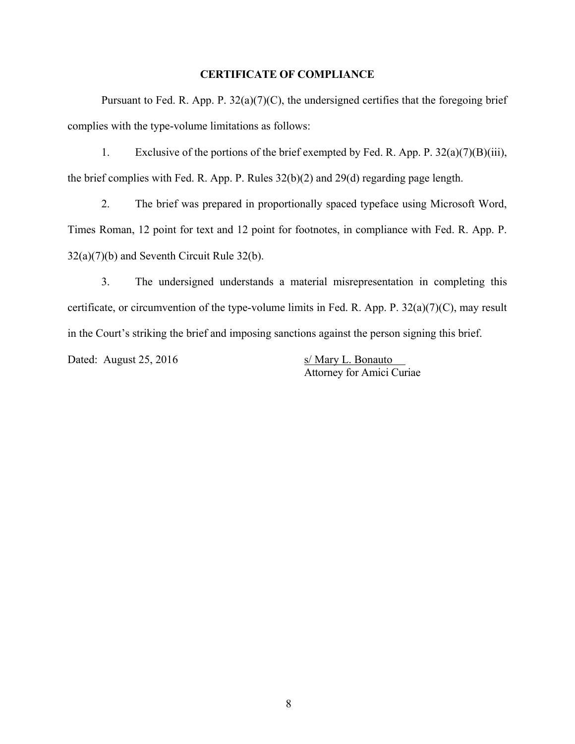### **CERTIFICATE OF COMPLIANCE**

Pursuant to Fed. R. App. P.  $32(a)(7)(C)$ , the undersigned certifies that the foregoing brief complies with the type-volume limitations as follows:

1. Exclusive of the portions of the brief exempted by Fed. R. App. P. 32(a)(7)(B)(iii), the brief complies with Fed. R. App. P. Rules 32(b)(2) and 29(d) regarding page length.

2. The brief was prepared in proportionally spaced typeface using Microsoft Word, Times Roman, 12 point for text and 12 point for footnotes, in compliance with Fed. R. App. P. 32(a)(7)(b) and Seventh Circuit Rule 32(b).

3. The undersigned understands a material misrepresentation in completing this certificate, or circumvention of the type-volume limits in Fed. R. App. P.  $32(a)(7)(C)$ , may result in the Court's striking the brief and imposing sanctions against the person signing this brief.

Dated: August 25, 2016 s/ Mary L. Bonauto

Attorney for Amici Curiae